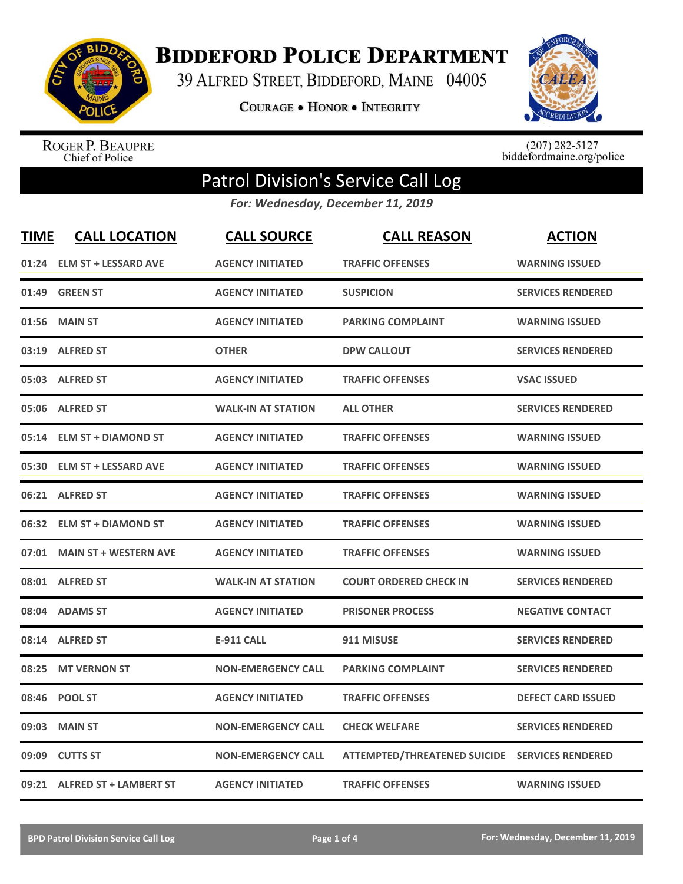

**BIDDEFORD POLICE DEPARTMENT** 

39 ALFRED STREET, BIDDEFORD, MAINE 04005

**COURAGE . HONOR . INTEGRITY** 



ROGER P. BEAUPRE<br>Chief of Police

 $(207)$  282-5127<br>biddefordmaine.org/police

## Patrol Division's Service Call Log

*For: Wednesday, December 11, 2019*

| <b>TIME</b> | <b>CALL LOCATION</b>         | <b>CALL SOURCE</b>        | <b>CALL REASON</b>                             | <b>ACTION</b>             |
|-------------|------------------------------|---------------------------|------------------------------------------------|---------------------------|
| 01:24       | <b>ELM ST + LESSARD AVE</b>  | <b>AGENCY INITIATED</b>   | <b>TRAFFIC OFFENSES</b>                        | <b>WARNING ISSUED</b>     |
| 01:49       | <b>GREEN ST</b>              | <b>AGENCY INITIATED</b>   | <b>SUSPICION</b>                               | <b>SERVICES RENDERED</b>  |
| 01:56       | <b>MAIN ST</b>               | <b>AGENCY INITIATED</b>   | <b>PARKING COMPLAINT</b>                       | <b>WARNING ISSUED</b>     |
|             | 03:19 ALFRED ST              | <b>OTHER</b>              | <b>DPW CALLOUT</b>                             | <b>SERVICES RENDERED</b>  |
|             | 05:03 ALFRED ST              | <b>AGENCY INITIATED</b>   | <b>TRAFFIC OFFENSES</b>                        | <b>VSAC ISSUED</b>        |
|             | 05:06 ALFRED ST              | <b>WALK-IN AT STATION</b> | <b>ALL OTHER</b>                               | <b>SERVICES RENDERED</b>  |
|             | 05:14 ELM ST + DIAMOND ST    | <b>AGENCY INITIATED</b>   | <b>TRAFFIC OFFENSES</b>                        | <b>WARNING ISSUED</b>     |
| 05:30       | <b>ELM ST + LESSARD AVE</b>  | <b>AGENCY INITIATED</b>   | <b>TRAFFIC OFFENSES</b>                        | <b>WARNING ISSUED</b>     |
|             | 06:21 ALFRED ST              | <b>AGENCY INITIATED</b>   | <b>TRAFFIC OFFENSES</b>                        | <b>WARNING ISSUED</b>     |
|             | 06:32 ELM ST + DIAMOND ST    | <b>AGENCY INITIATED</b>   | <b>TRAFFIC OFFENSES</b>                        | <b>WARNING ISSUED</b>     |
|             | 07:01 MAIN ST + WESTERN AVE  | <b>AGENCY INITIATED</b>   | <b>TRAFFIC OFFENSES</b>                        | <b>WARNING ISSUED</b>     |
|             | 08:01 ALFRED ST              | <b>WALK-IN AT STATION</b> | <b>COURT ORDERED CHECK IN</b>                  | <b>SERVICES RENDERED</b>  |
| 08:04       | <b>ADAMS ST</b>              | <b>AGENCY INITIATED</b>   | <b>PRISONER PROCESS</b>                        | <b>NEGATIVE CONTACT</b>   |
| 08:14       | <b>ALFRED ST</b>             | <b>E-911 CALL</b>         | 911 MISUSE                                     | <b>SERVICES RENDERED</b>  |
| 08:25       | <b>MT VERNON ST</b>          | <b>NON-EMERGENCY CALL</b> | <b>PARKING COMPLAINT</b>                       | <b>SERVICES RENDERED</b>  |
| 08:46       | <b>POOL ST</b>               | <b>AGENCY INITIATED</b>   | <b>TRAFFIC OFFENSES</b>                        | <b>DEFECT CARD ISSUED</b> |
| 09:03       | <b>MAIN ST</b>               | <b>NON-EMERGENCY CALL</b> | <b>CHECK WELFARE</b>                           | <b>SERVICES RENDERED</b>  |
| 09:09       | <b>CUTTS ST</b>              | <b>NON-EMERGENCY CALL</b> | ATTEMPTED/THREATENED SUICIDE SERVICES RENDERED |                           |
|             | 09:21 ALFRED ST + LAMBERT ST | <b>AGENCY INITIATED</b>   | <b>TRAFFIC OFFENSES</b>                        | <b>WARNING ISSUED</b>     |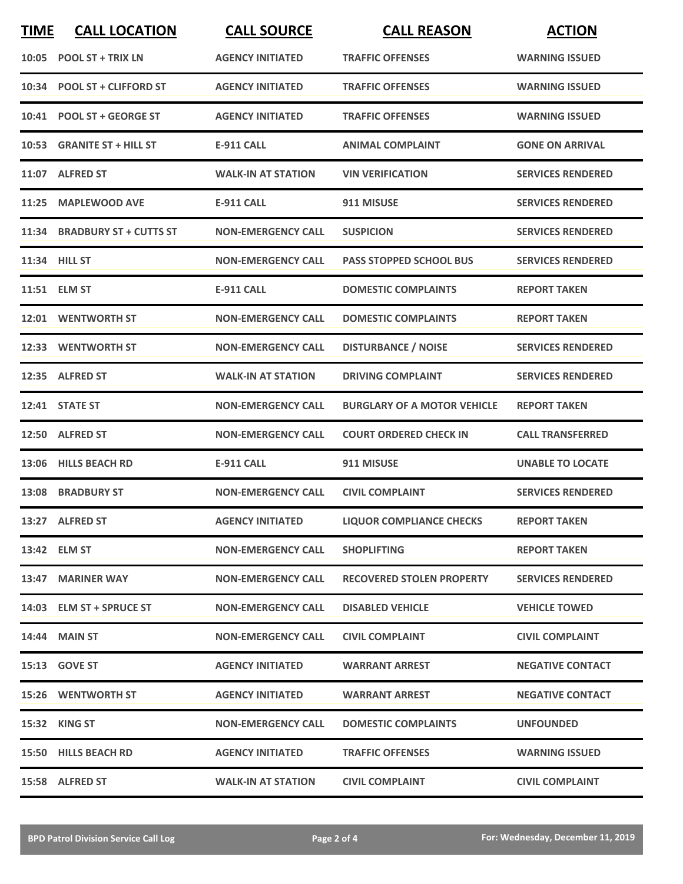| <b>TIME</b> | <b>CALL LOCATION</b>         | <b>CALL SOURCE</b>        | <b>CALL REASON</b>                 | <b>ACTION</b>            |
|-------------|------------------------------|---------------------------|------------------------------------|--------------------------|
|             | 10:05 POOL ST + TRIX LN      | <b>AGENCY INITIATED</b>   | <b>TRAFFIC OFFENSES</b>            | <b>WARNING ISSUED</b>    |
|             | 10:34 POOL ST + CLIFFORD ST  | <b>AGENCY INITIATED</b>   | <b>TRAFFIC OFFENSES</b>            | <b>WARNING ISSUED</b>    |
|             | 10:41 POOL ST + GEORGE ST    | <b>AGENCY INITIATED</b>   | <b>TRAFFIC OFFENSES</b>            | <b>WARNING ISSUED</b>    |
|             | 10:53 GRANITE ST + HILL ST   | <b>E-911 CALL</b>         | <b>ANIMAL COMPLAINT</b>            | <b>GONE ON ARRIVAL</b>   |
|             | 11:07 ALFRED ST              | <b>WALK-IN AT STATION</b> | <b>VIN VERIFICATION</b>            | <b>SERVICES RENDERED</b> |
|             | 11:25 MAPLEWOOD AVE          | <b>E-911 CALL</b>         | 911 MISUSE                         | <b>SERVICES RENDERED</b> |
|             | 11:34 BRADBURY ST + CUTTS ST | <b>NON-EMERGENCY CALL</b> | <b>SUSPICION</b>                   | <b>SERVICES RENDERED</b> |
|             | 11:34 HILL ST                | <b>NON-EMERGENCY CALL</b> | <b>PASS STOPPED SCHOOL BUS</b>     | <b>SERVICES RENDERED</b> |
|             | 11:51 ELM ST                 | E-911 CALL                | <b>DOMESTIC COMPLAINTS</b>         | <b>REPORT TAKEN</b>      |
|             | 12:01 WENTWORTH ST           | <b>NON-EMERGENCY CALL</b> | <b>DOMESTIC COMPLAINTS</b>         | <b>REPORT TAKEN</b>      |
|             | 12:33 WENTWORTH ST           | <b>NON-EMERGENCY CALL</b> | <b>DISTURBANCE / NOISE</b>         | <b>SERVICES RENDERED</b> |
|             | 12:35 ALFRED ST              | <b>WALK-IN AT STATION</b> | <b>DRIVING COMPLAINT</b>           | <b>SERVICES RENDERED</b> |
|             | 12:41 STATE ST               | <b>NON-EMERGENCY CALL</b> | <b>BURGLARY OF A MOTOR VEHICLE</b> | <b>REPORT TAKEN</b>      |
|             | 12:50 ALFRED ST              | <b>NON-EMERGENCY CALL</b> | <b>COURT ORDERED CHECK IN</b>      | <b>CALL TRANSFERRED</b>  |
|             | 13:06 HILLS BEACH RD         | E-911 CALL                | 911 MISUSE                         | <b>UNABLE TO LOCATE</b>  |
|             | 13:08 BRADBURY ST            | <b>NON-EMERGENCY CALL</b> | <b>CIVIL COMPLAINT</b>             | <b>SERVICES RENDERED</b> |
|             | 13:27 ALFRED ST              | <b>AGENCY INITIATED</b>   | <b>LIQUOR COMPLIANCE CHECKS</b>    | <b>REPORT TAKEN</b>      |
|             | 13:42 ELM ST                 | <b>NON-EMERGENCY CALL</b> | <b>SHOPLIFTING</b>                 | <b>REPORT TAKEN</b>      |
|             | 13:47 MARINER WAY            | <b>NON-EMERGENCY CALL</b> | <b>RECOVERED STOLEN PROPERTY</b>   | <b>SERVICES RENDERED</b> |
|             | 14:03 ELM ST + SPRUCE ST     | <b>NON-EMERGENCY CALL</b> | <b>DISABLED VEHICLE</b>            | <b>VEHICLE TOWED</b>     |
|             | <b>14:44 MAIN ST</b>         | <b>NON-EMERGENCY CALL</b> | <b>CIVIL COMPLAINT</b>             | <b>CIVIL COMPLAINT</b>   |
|             | 15:13 GOVE ST                | <b>AGENCY INITIATED</b>   | <b>WARRANT ARREST</b>              | <b>NEGATIVE CONTACT</b>  |
|             | <b>15:26 WENTWORTH ST</b>    | <b>AGENCY INITIATED</b>   | <b>WARRANT ARREST</b>              | <b>NEGATIVE CONTACT</b>  |
|             | 15:32 KING ST                | <b>NON-EMERGENCY CALL</b> | <b>DOMESTIC COMPLAINTS</b>         | <b>UNFOUNDED</b>         |
|             | 15:50 HILLS BEACH RD         | <b>AGENCY INITIATED</b>   | <b>TRAFFIC OFFENSES</b>            | <b>WARNING ISSUED</b>    |
|             | 15:58 ALFRED ST              | <b>WALK-IN AT STATION</b> | <b>CIVIL COMPLAINT</b>             | <b>CIVIL COMPLAINT</b>   |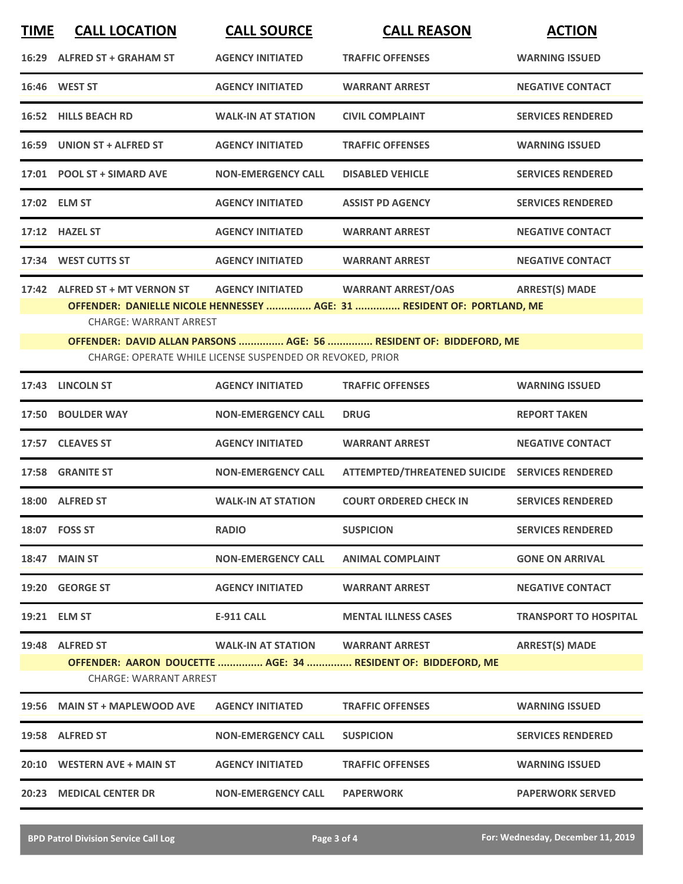| <b>TIME</b> | <b>CALL LOCATION</b>                                            | <b>CALL SOURCE</b>                                        | <b>CALL REASON</b>                                                                                   | <b>ACTION</b>                |
|-------------|-----------------------------------------------------------------|-----------------------------------------------------------|------------------------------------------------------------------------------------------------------|------------------------------|
|             | 16:29 ALFRED ST + GRAHAM ST                                     | <b>AGENCY INITIATED</b>                                   | <b>TRAFFIC OFFENSES</b>                                                                              | <b>WARNING ISSUED</b>        |
|             | 16:46 WEST ST                                                   | <b>AGENCY INITIATED</b>                                   | <b>WARRANT ARREST</b>                                                                                | <b>NEGATIVE CONTACT</b>      |
|             | 16:52 HILLS BEACH RD                                            | <b>WALK-IN AT STATION</b>                                 | <b>CIVIL COMPLAINT</b>                                                                               | <b>SERVICES RENDERED</b>     |
|             | 16:59 UNION ST + ALFRED ST                                      | <b>AGENCY INITIATED</b>                                   | <b>TRAFFIC OFFENSES</b>                                                                              | <b>WARNING ISSUED</b>        |
|             | 17:01 POOL ST + SIMARD AVE                                      | <b>NON-EMERGENCY CALL</b>                                 | <b>DISABLED VEHICLE</b>                                                                              | <b>SERVICES RENDERED</b>     |
|             | 17:02 ELM ST                                                    | <b>AGENCY INITIATED</b>                                   | <b>ASSIST PD AGENCY</b>                                                                              | <b>SERVICES RENDERED</b>     |
|             | 17:12 HAZEL ST                                                  | <b>AGENCY INITIATED</b>                                   | <b>WARRANT ARREST</b>                                                                                | <b>NEGATIVE CONTACT</b>      |
|             | 17:34 WEST CUTTS ST                                             | <b>AGENCY INITIATED</b>                                   | <b>WARRANT ARREST</b>                                                                                | <b>NEGATIVE CONTACT</b>      |
|             | 17:42 ALFRED ST + MT VERNON ST<br><b>CHARGE: WARRANT ARREST</b> | <b>AGENCY INITIATED</b>                                   | <b>WARRANT ARREST/OAS</b><br>OFFENDER: DANIELLE NICOLE HENNESSEY  AGE: 31  RESIDENT OF: PORTLAND, ME | <b>ARREST(S) MADE</b>        |
|             |                                                                 | CHARGE: OPERATE WHILE LICENSE SUSPENDED OR REVOKED, PRIOR | OFFENDER: DAVID ALLAN PARSONS  AGE: 56  RESIDENT OF: BIDDEFORD, ME                                   |                              |
|             | 17:43 LINCOLN ST                                                | <b>AGENCY INITIATED</b>                                   | <b>TRAFFIC OFFENSES</b>                                                                              | <b>WARNING ISSUED</b>        |
|             | 17:50 BOULDER WAY                                               | <b>NON-EMERGENCY CALL</b>                                 | <b>DRUG</b>                                                                                          | <b>REPORT TAKEN</b>          |
|             | 17:57 CLEAVES ST                                                | <b>AGENCY INITIATED</b>                                   | <b>WARRANT ARREST</b>                                                                                | <b>NEGATIVE CONTACT</b>      |
|             | 17:58 GRANITE ST                                                | <b>NON-EMERGENCY CALL</b>                                 | ATTEMPTED/THREATENED SUICIDE SERVICES RENDERED                                                       |                              |
|             | 18:00 ALFRED ST                                                 | <b>WALK-IN AT STATION</b>                                 | <b>COURT ORDERED CHECK IN</b>                                                                        | <b>SERVICES RENDERED</b>     |
|             | 18:07 FOSS ST                                                   | <b>RADIO</b>                                              | <b>SUSPICION</b>                                                                                     | <b>SERVICES RENDERED</b>     |
|             | <b>18:47 MAIN ST</b>                                            | <b>NON-EMERGENCY CALL</b>                                 | <b>ANIMAL COMPLAINT</b>                                                                              | <b>GONE ON ARRIVAL</b>       |
|             | 19:20 GEORGE ST                                                 | <b>AGENCY INITIATED</b>                                   | <b>WARRANT ARREST</b>                                                                                | <b>NEGATIVE CONTACT</b>      |
|             | 19:21 ELM ST                                                    | <b>E-911 CALL</b>                                         | <b>MENTAL ILLNESS CASES</b>                                                                          | <b>TRANSPORT TO HOSPITAL</b> |
|             | 19:48 ALFRED ST<br><b>CHARGE: WARRANT ARREST</b>                | <b>WALK-IN AT STATION</b>                                 | <b>WARRANT ARREST</b><br>OFFENDER: AARON DOUCETTE  AGE: 34  RESIDENT OF: BIDDEFORD, ME               | <b>ARREST(S) MADE</b>        |
|             | 19:56 MAIN ST + MAPLEWOOD AVE                                   | <b>AGENCY INITIATED</b>                                   | <b>TRAFFIC OFFENSES</b>                                                                              | <b>WARNING ISSUED</b>        |
|             | 19:58 ALFRED ST                                                 | <b>NON-EMERGENCY CALL</b>                                 | <b>SUSPICION</b>                                                                                     | <b>SERVICES RENDERED</b>     |
|             | 20:10 WESTERN AVE + MAIN ST                                     | <b>AGENCY INITIATED</b>                                   | <b>TRAFFIC OFFENSES</b>                                                                              | <b>WARNING ISSUED</b>        |
|             | 20:23 MEDICAL CENTER DR                                         | <b>NON-EMERGENCY CALL</b>                                 | <b>PAPERWORK</b>                                                                                     | <b>PAPERWORK SERVED</b>      |
|             |                                                                 |                                                           |                                                                                                      |                              |

**BPD Patrol Division Service Call Log Page 3 of 4 For: Wednesday, December 11, 2019**